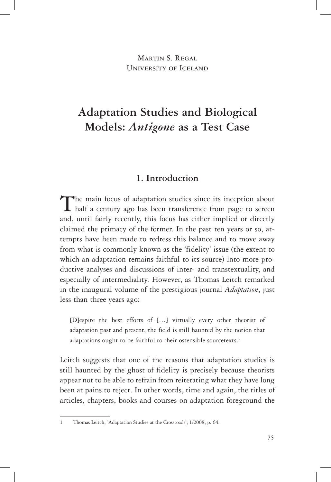MARTIN S. REGAL University of Iceland

# **Adaptation Studies and Biological Models:** *Antigone* **as a Test Case**

# **1. Introduction**

The main focus of adaptation studies since its inception about half a century ago has been transference from page to screen and, until fairly recently, this focus has either implied or directly claimed the primacy of the former. In the past ten years or so, attempts have been made to redress this balance and to move away from what is commonly known as the 'fidelity' issue (the extent to which an adaptation remains faithful to its source) into more productive analyses and discussions of inter- and transtextuality, and especially of intermediality. However, as Thomas Leitch remarked in the inaugural volume of the prestigious journal *Adaptation*, just less than three years ago:

[D]espite the best efforts of […] virtually every other theorist of adaptation past and present, the field is still haunted by the notion that adaptations ought to be faithful to their ostensible sourcetexts.<sup>1</sup>

Leitch suggests that one of the reasons that adaptation studies is still haunted by the ghost of fidelity is precisely because theorists appear not to be able to refrain from reiterating what they have long been at pains to reject. In other words, time and again, the titles of articles, chapters, books and courses on adaptation foreground the

<sup>1</sup> Thomas Leitch, 'Adaptation Studies at the Crossroads', 1/2008, p. 64.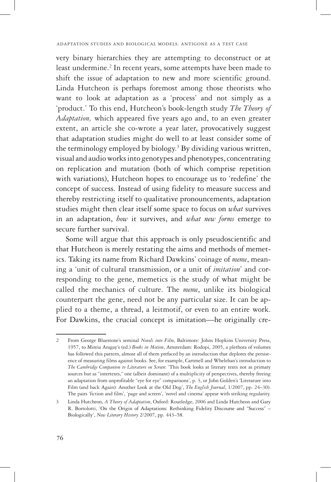very binary hierarchies they are attempting to deconstruct or at least undermine.<sup>2</sup> In recent years, some attempts have been made to shift the issue of adaptation to new and more scientific ground. Linda Hutcheon is perhaps foremost among those theorists who want to look at adaptation as a 'process' and not simply as a 'product.' To this end, Hutcheon's book-length study *The Theory of Adaptation,* which appeared five years ago and, to an even greater extent, an article she co-wrote a year later, provocatively suggest that adaptation studies might do well to at least consider some of the terminology employed by biology.<sup>3</sup> By dividing various written, visual and audio works into genotypes and phenotypes, concentrating on replication and mutation (both of which comprise repetition with variations), Hutcheon hopes to encourage us to 'redefine' the concept of success. Instead of using fidelity to measure success and thereby restricting itself to qualitative pronouncements, adaptation studies might then clear itself some space to focus on *what* survives in an adaptation, *how* it survives, and *what new forms* emerge to secure further survival.

Some will argue that this approach is only pseudoscientific and that Hutcheon is merely restating the aims and methods of memetics. Taking its name from Richard Dawkins' coinage of *meme*, meaning a 'unit of cultural transmission, or a unit of *imitation*' and corresponding to the gene, memetics is the study of what might be called the mechanics of culture. The *meme*, unlike its biological counterpart the gene, need not be any particular size. It can be applied to a theme, a thread, a leitmotif, or even to an entire work. For Dawkins, the crucial concept is imitation—he originally cre-

<sup>2</sup> From George Bluestone's seminal *Novels into Film*, Baltimore: Johns Hopkins University Press, 1957, to Mireia Aragay's (ed.) *Books in Motion*, Amsterdam: Rodopi, 2005, a plethora of volumes has followed this pattern, almost all of them prefaced by an introduction that deplores the persistence of measuring films against books. See, for example, Cartmell and Whelehan's introduction to *The Cambridge Companion to Literature on Screen*: 'This book looks at literary texts not as primary sources but as "intertexts," one (albeit dominant) of a multiplicity of perspectives, thereby freeing an adaptation from unprofitable "eye for eye" comparisons', p. 3, or John Golden's 'Literature into Film (and back Again): Another Look at the Old Dog', *The English Journal*, 1/2007, pp. 24–30). The pairs 'fiction and film', 'page and screen', 'novel and cinema' appear with striking regularity.

<sup>3</sup> Linda Hutcheon, *A Theory of Adaptation*, Oxford: Routledge, 2006 and Linda Hutcheon and Gary R. Bortolotti, 'On the Origin of Adaptations: Rethinking Fidelity Discourse and "Success" – Biologically', *New Literary History* 2/2007, pp. 443–58.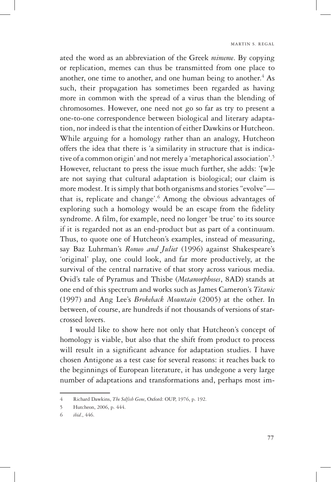ated the word as an abbreviation of the Greek *mimeme*. By copying or replication, memes can thus be transmitted from one place to another, one time to another, and one human being to another.<sup>4</sup> As such, their propagation has sometimes been regarded as having more in common with the spread of a virus than the blending of chromosomes. However, one need not go so far as try to present a one-to-one correspondence between biological and literary adaptation, nor indeed is that the intention of either Dawkins or Hutcheon. While arguing for a homology rather than an analogy, Hutcheon offers the idea that there is 'a similarity in structure that is indicative of a common origin' and not merely a 'metaphorical association'.5 However, reluctant to press the issue much further, she adds: '[w]e are not saying that cultural adaptation is biological; our claim is more modest. It is simply that both organisms and stories "evolve" that is, replicate and change'.<sup>6</sup> Among the obvious advantages of exploring such a homology would be an escape from the fidelity syndrome. A film, for example, need no longer 'be true' to its source if it is regarded not as an end-product but as part of a continuum. Thus, to quote one of Hutcheon's examples, instead of measuring, say Baz Luhrman's *Romeo and Juliet* (1996) against Shakespeare's 'original' play, one could look, and far more productively, at the survival of the central narrative of that story across various media. Ovid's tale of Pyramus and Thisbe (*Metamorphoses*, 8AD) stands at one end of this spectrum and works such as James Cameron's *Titanic* (1997) and Ang Lee's *Brokeback Mountain* (2005) at the other. In between, of course, are hundreds if not thousands of versions of starcrossed lovers.

I would like to show here not only that Hutcheon's concept of homology is viable, but also that the shift from product to process will result in a significant advance for adaptation studies. I have chosen Antigone as a test case for several reasons: it reaches back to the beginnings of European literature, it has undegone a very large number of adaptations and transformations and, perhaps most im-

<sup>4</sup> Richard Dawkins, *The Selfish Gene*, Oxford: OUP, 1976, p. 192.

<sup>5</sup> Hutcheon, 2006, p. 444.

<sup>6</sup> *ibid*., 446.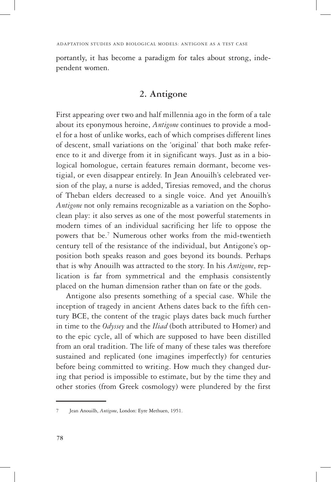portantly, it has become a paradigm for tales about strong, independent women.

# **2. Antigone**

First appearing over two and half millennia ago in the form of a tale about its eponymous heroine, *Antigone* continues to provide a model for a host of unlike works, each of which comprises different lines of descent, small variations on the 'original' that both make reference to it and diverge from it in significant ways. Just as in a biological homologue, certain features remain dormant, become vestigial, or even disappear entirely. In Jean Anouilh's celebrated version of the play, a nurse is added, Tiresias removed, and the chorus of Theban elders decreased to a single voice. And yet Anouilh's *Antigone* not only remains recognizable as a variation on the Sophoclean play: it also serves as one of the most powerful statements in modern times of an individual sacrificing her life to oppose the powers that be.<sup>7</sup> Numerous other works from the mid-twentieth century tell of the resistance of the individual, but Antigone's opposition both speaks reason and goes beyond its bounds. Perhaps that is why Anouilh was attracted to the story. In his *Antigone*, replication is far from symmetrical and the emphasis consistently placed on the human dimension rather than on fate or the gods.

Antigone also presents something of a special case. While the inception of tragedy in ancient Athens dates back to the fifth century BCE, the content of the tragic plays dates back much further in time to the *Odyssey* and the *Iliad* (both attributed to Homer) and to the epic cycle, all of which are supposed to have been distilled from an oral tradition. The life of many of these tales was therefore sustained and replicated (one imagines imperfectly) for centuries before being committed to writing. How much they changed during that period is impossible to estimate, but by the time they and other stories (from Greek cosmology) were plundered by the first

<sup>7</sup> Jean Anouilh, *Antigone*, London: Eyre Methuen, 1951.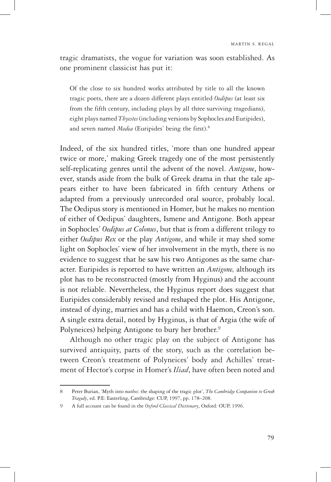tragic dramatists, the vogue for variation was soon established. As one prominent classicist has put it:

Of the close to six hundred works attributed by title to all the known tragic poets, there are a dozen different plays entitled *Oedipus* (at least six from the fifth century, including plays by all three surviving tragedians), eight plays named *Thyestes* (including versions by Sophocles and Euripides), and seven named *Medea* (Euripides' being the first).<sup>8</sup>

Indeed, of the six hundred titles, 'more than one hundred appear twice or more,' making Greek tragedy one of the most persistently self-replicating genres until the advent of the novel. *Antigone*, however, stands aside from the bulk of Greek drama in that the tale appears either to have been fabricated in fifth century Athens or adapted from a previously unrecorded oral source, probably local. The Oedipus story is mentioned in Homer, but he makes no mention of either of Oedipus' daughters, Ismene and Antigone. Both appear in Sophocles' *Oedipus at Colonus*, but that is from a different trilogy to either *Oedipus Rex* or the play *Antigone*, and while it may shed some light on Sophocles' view of her involvement in the myth, there is no evidence to suggest that he saw his two Antigones as the same character. Euripides is reported to have written an *Antigone,* although its plot has to be reconstructed (mostly from Hyginus) and the account is not reliable. Nevertheless, the Hyginus report does suggest that Euripides considerably revised and reshaped the plot. His Antigone, instead of dying, marries and has a child with Haemon, Creon's son. A single extra detail, noted by Hyginus, is that of Argia (the wife of Polyneices) helping Antigone to bury her brother.<sup>9</sup>

Although no other tragic play on the subject of Antigone has survived antiquity, parts of the story, such as the correlation between Creon's treatment of Polyneices' body and Achilles' treatment of Hector's corpse in Homer's *Iliad*, have often been noted and

<sup>8</sup> Peter Burian, 'Myth into *muthos*: the shaping of the tragic plot', *The Cambridge Companion to Greek Tragedy*, ed. P.E: Easterling, Cambridge: CUP, 1997, pp. 178–208.

<sup>9</sup> A full account can be found in the *Oxford Classical Dictionary*, Oxford: OUP, 1996.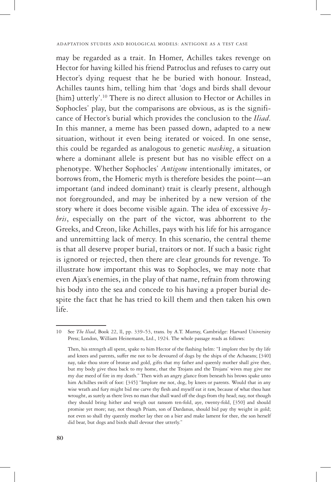may be regarded as a trait. In Homer, Achilles takes revenge on Hector for having killed his friend Patroclus and refuses to carry out Hector's dying request that he be buried with honour. Instead, Achilles taunts him, telling him that 'dogs and birds shall devour [him] utterly'.10 There is no direct allusion to Hector or Achilles in Sophocles' play, but the comparisons are obvious, as is the significance of Hector's burial which provides the conclusion to the *Iliad*. In this manner, a meme has been passed down, adapted to a new situation, without it even being iterated or voiced. In one sense, this could be regarded as analogous to genetic *masking*, a situation where a dominant allele is present but has no visible effect on a phenotype. Whether Sophocles' *Antigone* intentionally imitates, or borrows from, the Homeric myth is therefore besides the point—an important (and indeed dominant) trait is clearly present, although not foregrounded, and may be inherited by a new version of the story where it does become visible again. The idea of excessive *hybris*, especially on the part of the victor, was abhorrent to the Greeks, and Creon, like Achilles, pays with his life for his arrogance and unremitting lack of mercy. In this scenario, the central theme is that all deserve proper burial, traitors or not. If such a basic right is ignored or rejected, then there are clear grounds for revenge. To illustrate how important this was to Sophocles, we may note that even Ajax's enemies, in the play of that name, refrain from throwing his body into the sea and concede to his having a proper burial despite the fact that he has tried to kill them and then taken his own life.

<sup>10</sup> See *The Iliad*, Book 22, ll, pp. 339–53, trans. by A.T. Murray, Cambridge: Harvard University Press; London, William Heinemann, Ltd., 1924. The whole passage reads as follows:

Then, his strength all spent, spake to him Hector of the flashing helm: "I implore thee by thy life and knees and parents, suffer me not to be devoured of dogs by the ships of the Achaeans; [340] nay, take thou store of bronze and gold, gifts that my father and queenly mother shall give thee, but my body give thou back to my home, that the Trojans and the Trojans' wives may give me my due meed of fire in my death." Then with an angry glance from beneath his brows spake unto him Achilhes swift of foot: [345] "Implore me not, dog, by knees or parents. Would that in any wise wrath and fury might bid me carve thy flesh and myself eat it raw, because of what thou hast wrought, as surely as there lives no man that shall ward off the dogs from thy head; nay, not though they should bring hither and weigh out ransom ten-fold, aye, twenty-fold, [350] and should promise yet more; nay, not though Priam, son of Dardanus, should bid pay thy weight in gold; not even so shall thy queenly mother lay thee on a bier and make lament for thee, the son herself did bear, but dogs and birds shall devour thee utterly."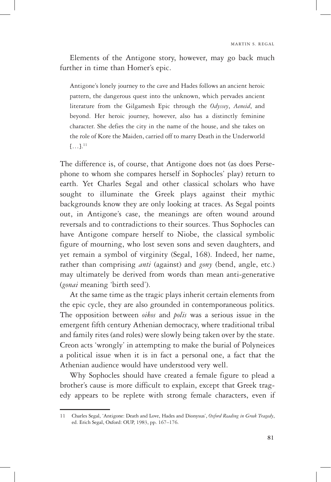Elements of the Antigone story, however, may go back much further in time than Homer's epic.

Antigone's lonely journey to the cave and Hades follows an ancient heroic pattern, the dangerous quest into the unknown, which pervades ancient literature from the Gilgamesh Epic through the *Odyssey*, *Aeneid*, and beyond. Her heroic journey, however, also has a distinctly feminine character. She defies the city in the name of the house, and she takes on the role of Kore the Maiden, carried off to marry Death in the Underworld  $[...]^{11}$ 

The difference is, of course, that Antigone does not (as does Persephone to whom she compares herself in Sophocles' play) return to earth. Yet Charles Segal and other classical scholars who have sought to illuminate the Greek plays against their mythic backgrounds know they are only looking at traces. As Segal points out, in Antigone's case, the meanings are often wound around reversals and to contradictions to their sources. Thus Sophocles can have Antigone compare herself to Niobe, the classical symbolic figure of mourning, who lost seven sons and seven daughters, and yet remain a symbol of virginity (Segal, 168). Indeed, her name, rather than comprising *anti* (against) and *gony* (bend, angle, etc.) may ultimately be derived from words than mean anti-generative (*gonai* meaning 'birth seed').

At the same time as the tragic plays inherit certain elements from the epic cycle, they are also grounded in contemporaneous politics. The opposition between *oikos* and *polis* was a serious issue in the emergent fifth century Athenian democracy, where traditional tribal and family rites (and roles) were slowly being taken over by the state. Creon acts 'wrongly' in attempting to make the burial of Polyneices a political issue when it is in fact a personal one, a fact that the Athenian audience would have understood very well.

Why Sophocles should have created a female figure to plead a brother's cause is more difficult to explain, except that Greek tragedy appears to be replete with strong female characters, even if

<sup>11</sup> Charles Segal, 'Antigone: Death and Love, Hades and Dionysus', *Oxford Reading in Greek Tragedy*, ed. Erich Segal, Oxford: OUP, 1983, pp. 167–176.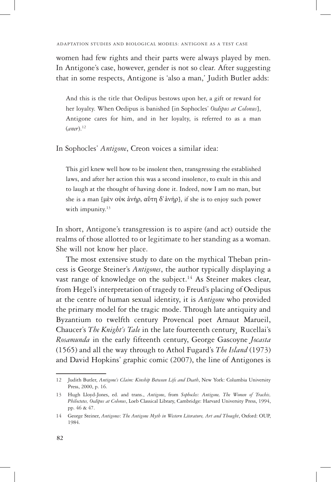women had few rights and their parts were always played by men. In Antigone's case, however, gender is not so clear. After suggesting that in some respects, Antigone is 'also a man,' Judith Butler adds:

And this is the title that Oedipus bestows upon her, a gift or reward for her loyalty. When Oedipus is banished [in Sophocles' *Oedipus at Colonus*], Antigone cares for him, and in her loyalty, is referred to as a man (*aner*).12

In Sophocles' *Antigone*, Creon voices a similar idea:

This girl knew well how to be insolent then, transgressing the established laws, and after her action this was a second insolence, to exult in this and to laugh at the thought of having done it. Indeed, now I am no man, but she is a man [μὲν οὐκ ảνήρ, αὕτη δ᾿ảνήρ], if she is to enjoy such power with impunity.<sup>13</sup>

In short, Antigone's transgression is to aspire (and act) outside the realms of those allotted to or legitimate to her standing as a woman. She will not know her place.

The most extensive study to date on the mythical Theban princess is George Steiner's *Antigones*, the author typically displaying a vast range of knowledge on the subject.<sup>14</sup> As Steiner makes clear, from Hegel's interpretation of tragedy to Freud's placing of Oedipus at the centre of human sexual identity, it is *Antigone* who provided the primary model for the tragic mode. Through late antiquity and Byzantium to twelfth century Provencal poet Arnaut Marueil, Chaucer's *The Knight's Tale* in the late fourteenth century*¸* Rucellai's *Rosamunda* in the early fifteenth century, George Gascoyne *Jocasta*  (1565) and all the way through to Athol Fugard's *The Island* (1973) and David Hopkins' graphic comic (2007), the line of Antigones is

<sup>12</sup> Judith Butler, *Antigone's Claim: Kinship Between Life and Death*, New York: Columbia University Press, 2000, p. 16.

<sup>13</sup> Hugh Lloyd-Jones, ed. and trans., *Antigone*, from *Sophocles: Antigone, The Women of Trachis, Philoctetes, Oedipus at Colonus*, Loeb Classical Library, Cambridge: Harvard University Press, 1994, pp. 46 & 47.

<sup>14</sup> George Steiner, *Antigones*: *The Antigone Myth in Western Literature, Art and Thought*, Oxford: OUP, 1984.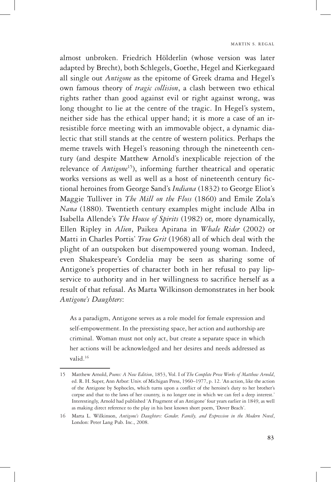almost unbroken. Friedrich Hölderlin (whose version was later adapted by Brecht), both Schlegels, Goethe, Hegel and Kierkegaard all single out *Antigone* as the epitome of Greek drama and Hegel's own famous theory of *tragic collision*, a clash between two ethical rights rather than good against evil or right against wrong, was long thought to lie at the centre of the tragic. In Hegel's system, neither side has the ethical upper hand; it is more a case of an irresistible force meeting with an immovable object, a dynamic dialectic that still stands at the centre of western politics. Perhaps the meme travels with Hegel's reasoning through the nineteenth century (and despite Matthew Arnold's inexplicable rejection of the relevance of *Antigone*<sup>15</sup>), informing further theatrical and operatic works versions as well as well as a host of nineteenth century fictional heroines from George Sand's *Indiana* (1832) to George Eliot's Maggie Tulliver in *The Mill on the Floss* (1860) and Emile Zola's *Nana* (1880). Twentieth century examples might include Alba in Isabella Allende's *The House of Spirits* (1982) or, more dynamically, Ellen Ripley in *Alien*, Paikea Apirana in *Whale Rider* (2002) or Matti in Charles Portis' *True Grit* (1968) all of which deal with the plight of an outspoken but disempowered young woman. Indeed, even Shakespeare's Cordelia may be seen as sharing some of Antigone's properties of character both in her refusal to pay lipservice to authority and in her willingness to sacrifice herself as a result of that refusal. As Marta Wilkinson demonstrates in her book *Antigone's Daughters*:

As a paradigm, Antigone serves as a role model for female expression and self-empowerment. In the preexisting space, her action and authorship are criminal. Woman must not only act, but create a separate space in which her actions will be acknowledged and her desires and needs addressed as valid.16

<sup>15</sup> Matthew Arnold, *Poems: A New Edition*, 1853, Vol. I of *The Complete Prose Works of Matthew Arnold*, ed. R. H. Super, Ann Arbor: Univ. of Michigan Press, 1960–1977, p. 12. 'An action, like the action of the Antigone by Sophocles, which turns upon a conflict of the heroine's duty to her brother's corpse and that to the laws of her country, is no longer one in which we can feel a deep interest.' Interestingly, Arnold had published 'A Fragment of an Antigone' four years earlier in 1849, as well as making direct reference to the play in his best known short poem, 'Dover Beach'.

<sup>16</sup> Marta L. Wilkinson, *Antigone's Daughters: Gender, Family, and Expression in the Modern Novel*, London: Peter Lang Pub. Inc., 2008.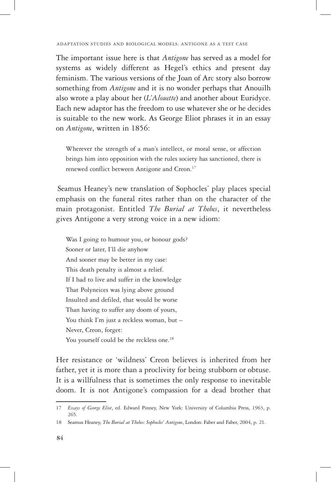The important issue here is that *Antigone* has served as a model for systems as widely different as Hegel's ethics and present day feminism. The various versions of the Joan of Arc story also borrow something from *Antigone* and it is no wonder perhaps that Anouilh also wrote a play about her (*L'Alouette*) and another about Euridyce. Each new adaptor has the freedom to use whatever she or he decides is suitable to the new work. As George Eliot phrases it in an essay on *Antigone*, written in 1856:

Wherever the strength of a man's intellect, or moral sense, or affection brings him into opposition with the rules society has sanctioned, there is renewed conflict between Antigone and Creon.<sup>17</sup>

Seamus Heaney's new translation of Sophocles' play places special emphasis on the funeral rites rather than on the character of the main protagonist. Entitled *The Burial at Thebes*, it nevertheless gives Antigone a very strong voice in a new idiom:

Was I going to humour you, or honour gods? Sooner or later, I'll die anyhow And sooner may be better in my case: This death penalty is almost a relief. If I had to live and suffer in the knowledge That Polyneices was lying above ground Insulted and defiled, that would be worse Than having to suffer any doom of yours, You think I'm just a reckless woman, but -Never, Creon, forget: You yourself could be the reckless one.<sup>18</sup>

Her resistance or 'wildness' Creon believes is inherited from her father, yet it is more than a proclivity for being stubborn or obtuse. It is a willfulness that is sometimes the only response to inevitable doom. It is not Antigone's compassion for a dead brother that

<sup>17</sup> *Essays of George Eliot*, ed. Edward Pinney, New York: University of Columbia Press, 1963, p. 265.

<sup>18</sup> Seamus Heaney, *The Burial at Thebes: Sophocles' Antigone*, London: Faber and Faber, 2004, p. 21.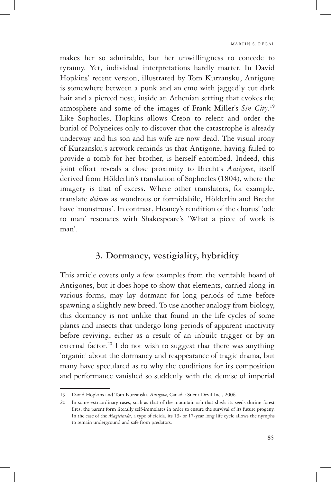makes her so admirable, but her unwillingness to concede to tyranny. Yet, individual interpretations hardly matter. In David Hopkins' recent version, illustrated by Tom Kurzansku, Antigone is somewhere between a punk and an emo with jaggedly cut dark hair and a pierced nose, inside an Athenian setting that evokes the atmosphere and some of the images of Frank Miller's *Sin City*. 19 Like Sophocles, Hopkins allows Creon to relent and order the burial of Polyneices only to discover that the catastrophe is already underway and his son and his wife are now dead. The visual irony of Kurzansku's artwork reminds us that Antigone, having failed to provide a tomb for her brother, is herself entombed. Indeed, this joint effort reveals a close proximity to Brecht's *Antigone*, itself derived from Hölderlin's translation of Sophocles (1804), where the imagery is that of excess. Where other translators, for example, translate *deinon* as wondrous or formidabile, Hölderlin and Brecht have 'monstrous'. In contrast, Heaney's rendition of the chorus' 'ode to man' resonates with Shakespeare's 'What a piece of work is man'.

### **3. Dormancy, vestigiality, hybridity**

This article covers only a few examples from the veritable hoard of Antigones, but it does hope to show that elements, carried along in various forms, may lay dormant for long periods of time before spawning a slightly new breed. To use another analogy from biology, this dormancy is not unlike that found in the life cycles of some plants and insects that undergo long periods of apparent inactivity before reviving, either as a result of an inbuilt trigger or by an external factor.<sup>20</sup> I do not wish to suggest that there was anything 'organic' about the dormancy and reappearance of tragic drama, but many have speculated as to why the conditions for its composition and performance vanished so suddenly with the demise of imperial

<sup>19</sup> David Hopkins and Tom Kurzanski, *Antigone*, Canada: Silent Devil Inc., 2006.

<sup>20</sup> In some extraordinary cases, such as that of the mountain ash that sheds its seeds during forest fires, the parent form literally self-immolates in order to ensure the survival of its future progeny. In the case of the *Magicicada*, a type of cicida, its 13- or 17-year long life cycle allows the nymphs to remain underground and safe from predators.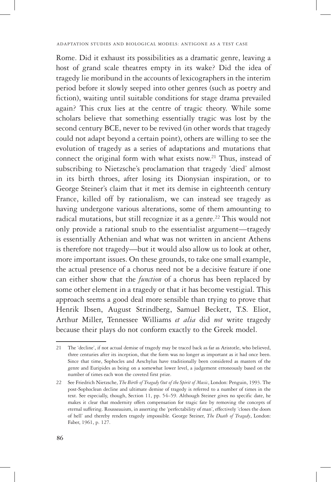Rome. Did it exhaust its possibilities as a dramatic genre, leaving a host of grand scale theatres empty in its wake? Did the idea of tragedy lie moribund in the accounts of lexicographers in the interim period before it slowly seeped into other genres (such as poetry and fiction), waiting until suitable conditions for stage drama prevailed again? This crux lies at the centre of tragic theory. While some scholars believe that something essentially tragic was lost by the second century BCE, never to be revived (in other words that tragedy could not adapt beyond a certain point), others are willing to see the evolution of tragedy as a series of adaptations and mutations that connect the original form with what exists now.<sup>21</sup> Thus, instead of subscribing to Nietzsche's proclamation that tragedy 'died' almost in its birth throes, after losing its Dionysian inspiration, or to George Steiner's claim that it met its demise in eighteenth century France, killed off by rationalism, we can instead see tragedy as having undergone various alterations, some of them amounting to radical mutations, but still recognize it as a genre.<sup>22</sup> This would not only provide a rational snub to the essentialist argument—tragedy is essentially Athenian and what was not written in ancient Athens is therefore not tragedy—but it would also allow us to look at other, more important issues. On these grounds, to take one small example, the actual presence of a chorus need not be a decisive feature if one can either show that the *function* of a chorus has been replaced by some other element in a tragedy or that it has become vestigial. This approach seems a good deal more sensible than trying to prove that Henrik Ibsen, August Strindberg, Samuel Beckett, T.S. Eliot, Arthur Miller, Tennessee Williams *et alia* did *not* write tragedy because their plays do not conform exactly to the Greek model.

<sup>21</sup> The 'decline', if not actual demise of tragedy may be traced back as far as Aristotle, who believed, three centuries after its inception, that the form was no longer as important as it had once been. Since that time, Sophocles and Aeschylus have traditionally been considered as masters of the genre and Euripides as being on a somewhat lower level, a judgement erroneously based on the number of times each won the coveted first prize.

<sup>22</sup> See Friedrich Nietzsche, *The Birth of Tragedy Out of the Spirit of Music*, London: Penguin, 1993. The post-Sophoclean decline and ultimate demise of tragedy is referred to a number of times in the text. See especially, though, Section 11, pp. 54–59. Although Steiner gives no specific date, he makes it clear that modernity offers compensation for tragic fate by removing the concepts of eternal suffering. Rousseauism, in asserting the 'perfectability of man', effectively 'closes the doors of hell' and thereby renders tragedy impossible. George Steiner, *The Death of Tragedy*, London: Faber, 1961, p. 127.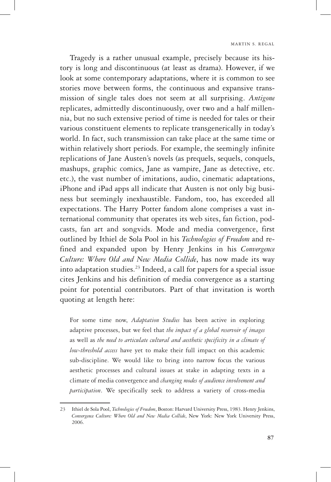Tragedy is a rather unusual example, precisely because its history is long and discontinuous (at least as drama). However, if we look at some contemporary adaptations, where it is common to see stories move between forms, the continuous and expansive transmission of single tales does not seem at all surprising. *Antigone* replicates, admittedly discontinuously, over two and a half millennia, but no such extensive period of time is needed for tales or their various constituent elements to replicate transgenerically in today's world. In fact, such transmission can take place at the same time or within relatively short periods. For example, the seemingly infinite replications of Jane Austen's novels (as prequels, sequels, conquels, mashups, graphic comics, Jane as vampire, Jane as detective, etc. etc.), the vast number of imitations, audio, cinematic adaptations, iPhone and iPad apps all indicate that Austen is not only big business but seemingly inexhaustible. Fandom, too, has exceeded all expectations. The Harry Potter fandom alone comprises a vast international community that operates its web sites, fan fiction, podcasts, fan art and songvids. Mode and media convergence, first outlined by Ithiel de Sola Pool in his *Technologies of Freedom* and refined and expanded upon by Henry Jenkins in his *Convergence Culture: Where Old and New Media Collide*, has now made its way into adaptation studies.23 Indeed, a call for papers for a special issue cites Jenkins and his definition of media convergence as a starting point for potential contributors. Part of that invitation is worth quoting at length here:

For some time now, *Adaptation Studies* has been active in exploring adaptive processes, but we feel that *the impact of a global reservoir of images* as well as *the need to articulate cultural and aesthetic specificity in a climate of low-threshold access* have yet to make their full impact on this academic sub-discipline. We would like to bring into narrow focus the various aesthetic processes and cultural issues at stake in adapting texts in a climate of media convergence and *changing modes of audience involvement and participation*. We specifically seek to address a variety of cross-media

<sup>23</sup> Ithiel de Sola Pool, *Technologies of Freedom*, Boston: Harvard University Press, 1983. Henry Jenkins, *Convergence Culture: Where Old and New Media Collide*, New York: New York University Press, 2006.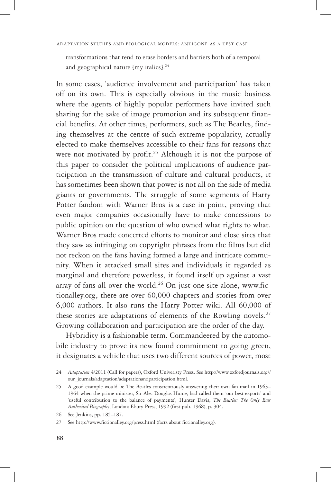transformations that tend to erase borders and barriers both of a temporal and geographical nature [my italics].<sup>24</sup>

In some cases, 'audience involvement and participation' has taken off on its own. This is especially obvious in the music business where the agents of highly popular performers have invited such sharing for the sake of image promotion and its subsequent financial benefits. At other times, performers, such as The Beatles, finding themselves at the centre of such extreme popularity, actually elected to make themselves accessible to their fans for reasons that were not motivated by profit.<sup>25</sup> Although it is not the purpose of this paper to consider the political implications of audience participation in the transmission of culture and cultural products, it has sometimes been shown that power is not all on the side of media giants or governments. The struggle of some segments of Harry Potter fandom with Warner Bros is a case in point, proving that even major companies occasionally have to make concessions to public opinion on the question of who owned what rights to what. Warner Bros made concerted efforts to monitor and close sites that they saw as infringing on copyright phrases from the films but did not reckon on the fans having formed a large and intricate community. When it attacked small sites and individuals it regarded as marginal and therefore powerless, it found itself up against a vast array of fans all over the world.<sup>26</sup> On just one site alone, www.fictionalley.org, there are over 60,000 chapters and stories from over 6,000 authors. It also runs the Harry Potter wiki. All 60,000 of these stories are adaptations of elements of the Rowling novels.<sup>27</sup> Growing collaboration and participation are the order of the day.

Hybridity is a fashionable term. Commandeered by the automobile industry to prove its new found commitment to going green, it designates a vehicle that uses two different sources of power, most

<sup>24</sup> *Adaptation* 4/2011 (Call for papers), Oxford Univeristy Press. See http://www.oxfordjournals.org// our\_journals/adaptation/adaptationandparticipation.html.

<sup>25</sup> A good example would be The Beatles conscientiously answering their own fan mail in 1963– 1964 when the prime minister, Sir Alec Douglas Hume, had called them 'our best exports' and 'useful contribution to the balance of payments', Hunter Davis, *The Beatles: The Only Ever Authorised Biography*, London: Ebury Press, 1992 (first pub. 1968), p. 304.

<sup>26</sup> See Jenkins, pp. 185–187.

<sup>27</sup> See http://www.fictionalley.org/press.html (facts about fictionalley.org).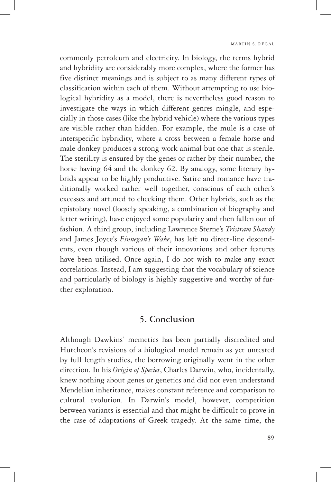commonly petroleum and electricity. In biology, the terms hybrid and hybridity are considerably more complex, where the former has five distinct meanings and is subject to as many different types of classification within each of them. Without attempting to use biological hybridity as a model, there is nevertheless good reason to investigate the ways in which different genres mingle, and especially in those cases (like the hybrid vehicle) where the various types are visible rather than hidden. For example, the mule is a case of interspecific hybridity, where a cross between a female horse and male donkey produces a strong work animal but one that is sterile. The sterility is ensured by the genes or rather by their number, the horse having 64 and the donkey 62. By analogy, some literary hybrids appear to be highly productive. Satire and romance have traditionally worked rather well together, conscious of each other's excesses and attuned to checking them. Other hybrids, such as the epistolary novel (loosely speaking, a combination of biography and letter writing), have enjoyed some popularity and then fallen out of fashion. A third group, including Lawrence Sterne's *Tristram Shandy* and James Joyce's *Finnegan's Wake*, has left no direct-line descendents, even though various of their innovations and other features have been utilised. Once again, I do not wish to make any exact correlations. Instead, I am suggesting that the vocabulary of science and particularly of biology is highly suggestive and worthy of further exploration.

### **5. Conclusion**

Although Dawkins' memetics has been partially discredited and Hutcheon's revisions of a biological model remain as yet untested by full length studies, the borrowing originally went in the other direction. In his *Origin of Species*, Charles Darwin, who, incidentally, knew nothing about genes or genetics and did not even understand Mendelian inheritance, makes constant reference and comparison to cultural evolution. In Darwin's model, however, competition between variants is essential and that might be difficult to prove in the case of adaptations of Greek tragedy. At the same time, the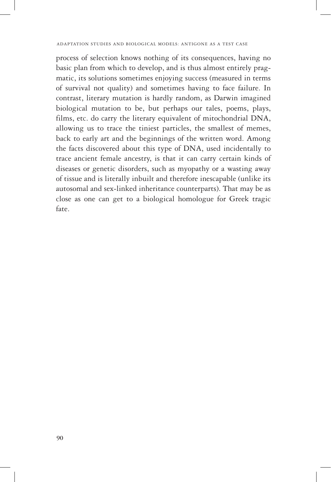process of selection knows nothing of its consequences, having no basic plan from which to develop, and is thus almost entirely pragmatic, its solutions sometimes enjoying success (measured in terms of survival not quality) and sometimes having to face failure. In contrast, literary mutation is hardly random, as Darwin imagined biological mutation to be, but perhaps our tales, poems, plays, films, etc. do carry the literary equivalent of mitochondrial DNA, allowing us to trace the tiniest particles, the smallest of memes, back to early art and the beginnings of the written word. Among the facts discovered about this type of DNA, used incidentally to trace ancient female ancestry, is that it can carry certain kinds of diseases or genetic disorders, such as myopathy or a wasting away of tissue and is literally inbuilt and therefore inescapable (unlike its autosomal and sex-linked inheritance counterparts). That may be as close as one can get to a biological homologue for Greek tragic fate.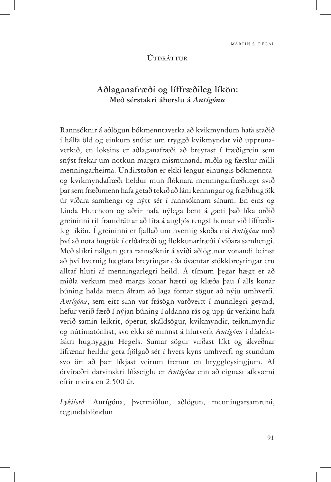#### Útdráttur

# **Aðlaganafræði og líffræðileg líkön: Með sérstakri áherslu á** *Antígónu*

Rannsóknir á aðlögun bókmenntaverka að kvikmyndum hafa staðið í hálfa öld og einkum snúist um tryggð kvikmyndar við upprunaverkið, en loksins er aðlaganafræði að breytast í fræðigrein sem snýst frekar um notkun margra mismunandi miðla og færslur milli menningarheima. Undirstaðan er ekki lengur einungis bókmenntaog kvikmyndafræði heldur mun flóknara menningarfræðilegt svið þar sem fræðimenn hafa getað tekið að láni kenningar og fræðihugtök úr víðara samhengi og nýtt sér í rannsóknum sínum. En eins og Linda Hutcheon og aðrir hafa nýlega bent á gæti það líka orðið greininni til framdráttar að líta á augljós tengsl hennar við líffræðileg líkön. Í greininni er fjallað um hvernig skoða má *Antígónu* með því að nota hugtök í erfðafræði og flokkunarfræði í víðara samhengi. Með slíkri nálgun geta rannsóknir á sviði aðlögunar vonandi beinst að því hvernig hægfara breytingar eða óvæntar stökkbreytingar eru alltaf hluti af menningarlegri heild. Á tímum þegar hægt er að miðla verkum með margs konar hætti og klæða þau í alls konar búning halda menn áfram að laga fornar sögur að nýju umhverfi. *Antígóna*, sem eitt sinn var frásögn varðveitt í munnlegri geymd, hefur verið færð í nýjan búning í aldanna rás og upp úr verkinu hafa verið samin leikrit, óperur, skáldsögur, kvikmyndir, teiknimyndir og nútímatónlist, svo ekki sé minnst á hlutverk *Antígónu* í díalektískri hughyggju Hegels. Sumar sögur virðast líkt og ákveðnar lífrænar heildir geta fjölgað sér í hvers kyns umhverfi og stundum svo ört að þær líkjast veirum fremur en hryggleysingjum. Af ótvíræðri darvinskri lífsseiglu er *Antígóna* enn að eignast afkvæmi eftir meira en 2.500 ár.

*Lykilorð*: Antígóna, þvermiðlun, aðlögun, menningarsamruni, tegundablöndun